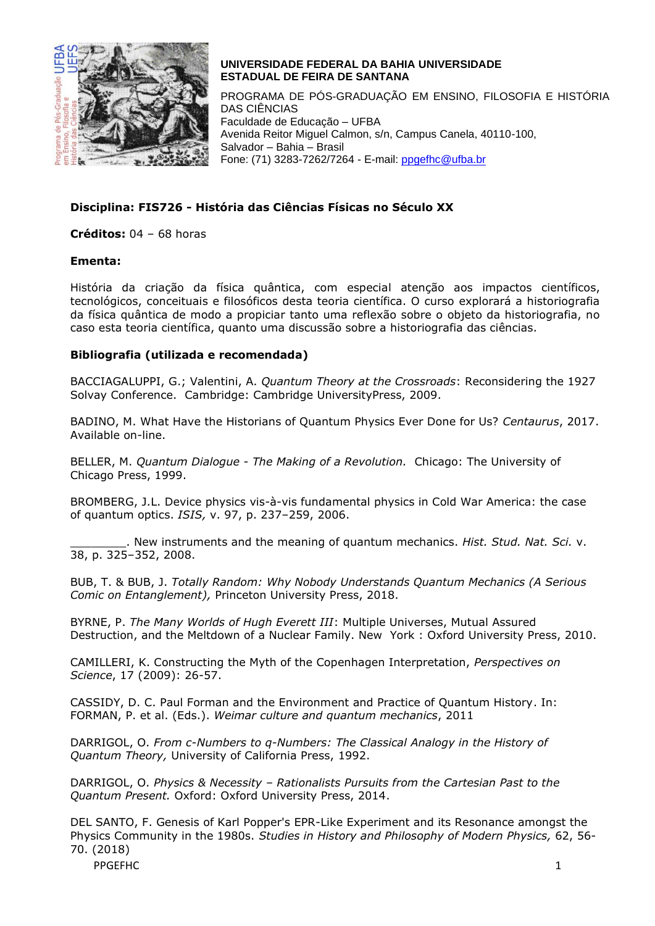

### **UNIVERSIDADE FEDERAL DA BAHIA UNIVERSIDADE ESTADUAL DE FEIRA DE SANTANA**

PROGRAMA DE PÓS-GRADUAÇÃO EM ENSINO, FILOSOFIA E HISTÓRIA DAS CIÊNCIAS Faculdade de Educação – UFBA Avenida Reitor Miguel Calmon, s/n, Campus Canela, 40110-100, Salvador – Bahia – Brasil Fone: (71) 3283-7262/7264 - E-mail: [ppgefhc@ufba.br](mailto:ppgefhc@ufba.br)

# **Disciplina: FIS726 - História das Ciências Físicas no Século XX**

**Créditos:** 04 – 68 horas

### **Ementa:**

História da criação da física quântica, com especial atenção aos impactos científicos, tecnológicos, conceituais e filosóficos desta teoria científica. O curso explorará a historiografia da física quântica de modo a propiciar tanto uma reflexão sobre o objeto da historiografia, no caso esta teoria científica, quanto uma discussão sobre a historiografia das ciências.

## **Bibliografia (utilizada e recomendada)**

BACCIAGALUPPI, G.; Valentini, A. *Quantum Theory at the Crossroads*: Reconsidering the 1927 Solvay Conference. Cambridge: Cambridge UniversityPress, 2009.

BADINO, M. What Have the Historians of Quantum Physics Ever Done for Us? *Centaurus*, 2017. Available on-line.

BELLER, M. *Quantum Dialogue - The Making of a Revolution.* Chicago: The University of Chicago Press, 1999.

BROMBERG, J.L. Device physics vis-à-vis fundamental physics in Cold War America: the case of quantum optics. *ISIS,* v. 97, p. 237–259, 2006.

\_\_\_\_\_\_\_\_. New instruments and the meaning of quantum mechanics. *Hist. Stud. Nat. Sci.* v. 38, p. 325–352, 2008.

BUB, T. & BUB, J. *Totally Random: Why Nobody Understands Quantum Mechanics (A Serious Comic on Entanglement),* Princeton University Press, 2018.

BYRNE, P. *The Many Worlds of Hugh Everett III*: Multiple Universes, Mutual Assured Destruction, and the Meltdown of a Nuclear Family. New York : Oxford University Press, 2010.

CAMILLERI, K. Constructing the Myth of the Copenhagen Interpretation, *Perspectives on Science*, 17 (2009): 26-57.

CASSIDY, D. C. Paul Forman and the Environment and Practice of Quantum History. In: FORMAN, P. et al. (Eds.). *Weimar culture and quantum mechanics*, 2011

DARRIGOL, O. *From c-Numbers to q-Numbers: The Classical Analogy in the History of Quantum Theory,* University of California Press, 1992.

DARRIGOL, O. *Physics & Necessity – Rationalists Pursuits from the Cartesian Past to the Quantum Present.* Oxford: Oxford University Press, 2014.

DEL SANTO, F. Genesis of Karl Popper's EPR-Like Experiment and its Resonance amongst the Physics Community in the 1980s. *Studies in History and Philosophy of Modern Physics,* 62, 56- 70. (2018)

PPGEFHC 1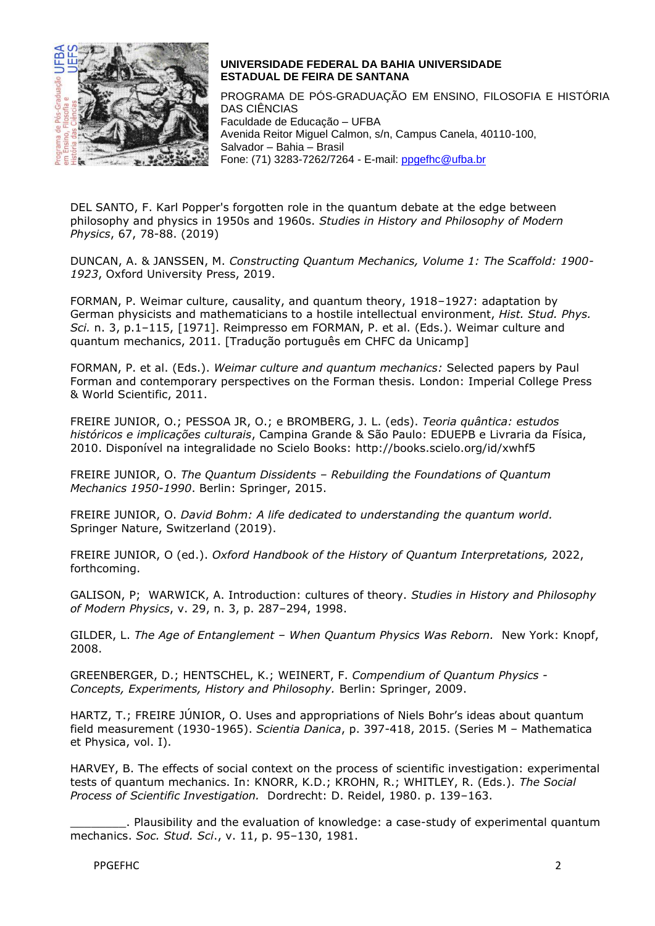

### **UNIVERSIDADE FEDERAL DA BAHIA UNIVERSIDADE ESTADUAL DE FEIRA DE SANTANA**

PROGRAMA DE PÓS-GRADUAÇÃO EM ENSINO, FILOSOFIA E HISTÓRIA DAS CIÊNCIAS Faculdade de Educação – UFBA Avenida Reitor Miguel Calmon, s/n, Campus Canela, 40110-100, Salvador – Bahia – Brasil Fone: (71) 3283-7262/7264 - E-mail: [ppgefhc@ufba.br](mailto:ppgefhc@ufba.br)

DEL SANTO, F. Karl Popper's forgotten role in the quantum debate at the edge between philosophy and physics in 1950s and 1960s. *Studies in History and Philosophy of Modern Physics*, 67, 78-88. (2019)

DUNCAN, A. & JANSSEN, M. *Constructing Quantum Mechanics, Volume 1: The Scaffold: 1900- 1923*, Oxford University Press, 2019.

FORMAN, P. Weimar culture, causality, and quantum theory, 1918–1927: adaptation by German physicists and mathematicians to a hostile intellectual environment, *Hist. Stud. Phys. Sci.* n. 3, p.1–115, [1971]. Reimpresso em FORMAN, P. et al. (Eds.). Weimar culture and quantum mechanics, 2011. [Tradução português em CHFC da Unicamp]

FORMAN, P. et al. (Eds.). *Weimar culture and quantum mechanics:* Selected papers by Paul Forman and contemporary perspectives on the Forman thesis. London: Imperial College Press & World Scientific, 2011.

FREIRE JUNIOR, O.; PESSOA JR, O.; e BROMBERG, J. L. (eds). *Teoria quântica: estudos históricos e implicações culturais*, Campina Grande & São Paulo: EDUEPB e Livraria da Física, 2010. Disponível na integralidade no Scielo Books: http://books.scielo.org/id/xwhf5

FREIRE JUNIOR, O. *The Quantum Dissidents – Rebuilding the Foundations of Quantum Mechanics 1950-1990*. Berlin: Springer, 2015.

FREIRE JUNIOR, O. *David Bohm: A life dedicated to understanding the quantum world.* Springer Nature, Switzerland (2019).

FREIRE JUNIOR, O (ed.). *Oxford Handbook of the History of Quantum Interpretations,* 2022, forthcoming.

GALISON, P; WARWICK, A. Introduction: cultures of theory. *Studies in History and Philosophy of Modern Physics*, v. 29, n. 3, p. 287–294, 1998.

GILDER, L. *The Age of Entanglement – When Quantum Physics Was Reborn.* New York: Knopf, 2008.

GREENBERGER, D.; HENTSCHEL, K.; WEINERT, F. *Compendium of Quantum Physics - Concepts, Experiments, History and Philosophy.* Berlin: Springer, 2009.

HARTZ, T.; FREIRE JÚNIOR, O. Uses and appropriations of Niels Bohr's ideas about quantum field measurement (1930-1965). *Scientia Danica*, p. 397-418, 2015. (Series M – Mathematica et Physica, vol. I).

HARVEY, B. The effects of social context on the process of scientific investigation: experimental tests of quantum mechanics. In: KNORR, K.D.; KROHN, R.; WHITLEY, R. (Eds.). *The Social Process of Scientific Investigation.*Dordrecht: D. Reidel, 1980. p. 139–163.

\_\_\_\_\_\_\_\_. Plausibility and the evaluation of knowledge: a case-study of experimental quantum mechanics. *Soc. Stud. Sci*., v. 11, p. 95–130, 1981.